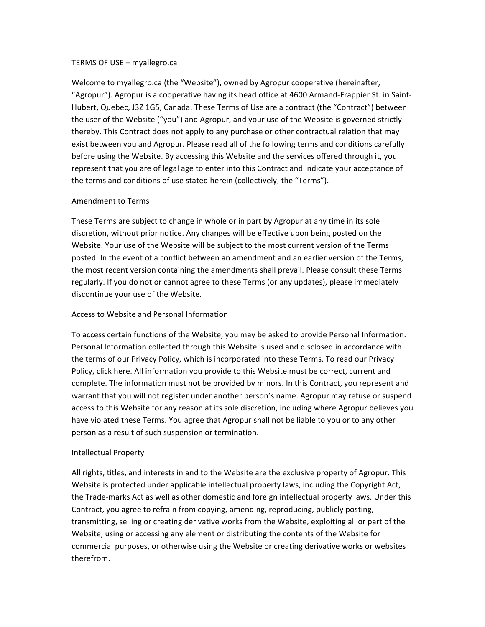#### TERMS OF USE - myallegro.ca

Welcome to myallegro.ca (the "Website"), owned by Agropur cooperative (hereinafter, "Agropur"). Agropur is a cooperative having its head office at 4600 Armand-Frappier St. in Saint-Hubert, Quebec, J3Z 1G5, Canada. These Terms of Use are a contract (the "Contract") between the user of the Website ("you") and Agropur, and your use of the Website is governed strictly thereby. This Contract does not apply to any purchase or other contractual relation that may exist between you and Agropur. Please read all of the following terms and conditions carefully before using the Website. By accessing this Website and the services offered through it, you represent that you are of legal age to enter into this Contract and indicate your acceptance of the terms and conditions of use stated herein (collectively, the "Terms").

#### Amendment to Terms

These Terms are subject to change in whole or in part by Agropur at any time in its sole discretion, without prior notice. Any changes will be effective upon being posted on the Website. Your use of the Website will be subject to the most current version of the Terms posted. In the event of a conflict between an amendment and an earlier version of the Terms, the most recent version containing the amendments shall prevail. Please consult these Terms regularly. If you do not or cannot agree to these Terms (or any updates), please immediately discontinue your use of the Website.

#### Access to Website and Personal Information

To access certain functions of the Website, you may be asked to provide Personal Information. Personal Information collected through this Website is used and disclosed in accordance with the terms of our Privacy Policy, which is incorporated into these Terms. To read our Privacy Policy, click here. All information you provide to this Website must be correct, current and complete. The information must not be provided by minors. In this Contract, you represent and warrant that you will not register under another person's name. Agropur may refuse or suspend access to this Website for any reason at its sole discretion, including where Agropur believes you have violated these Terms. You agree that Agropur shall not be liable to you or to any other person as a result of such suspension or termination.

#### Intellectual Property

All rights, titles, and interests in and to the Website are the exclusive property of Agropur. This Website is protected under applicable intellectual property laws, including the Copyright Act, the Trade-marks Act as well as other domestic and foreign intellectual property laws. Under this Contract, you agree to refrain from copying, amending, reproducing, publicly posting, transmitting, selling or creating derivative works from the Website, exploiting all or part of the Website, using or accessing any element or distributing the contents of the Website for commercial purposes, or otherwise using the Website or creating derivative works or websites therefrom.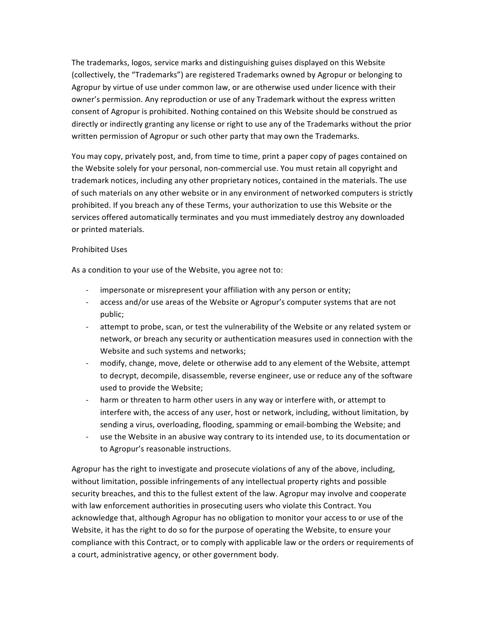The trademarks, logos, service marks and distinguishing guises displayed on this Website (collectively, the "Trademarks") are registered Trademarks owned by Agropur or belonging to Agropur by virtue of use under common law, or are otherwise used under licence with their owner's permission. Any reproduction or use of any Trademark without the express written consent of Agropur is prohibited. Nothing contained on this Website should be construed as directly or indirectly granting any license or right to use any of the Trademarks without the prior written permission of Agropur or such other party that may own the Trademarks.

You may copy, privately post, and, from time to time, print a paper copy of pages contained on the Website solely for your personal, non-commercial use. You must retain all copyright and trademark notices, including any other proprietary notices, contained in the materials. The use of such materials on any other website or in any environment of networked computers is strictly prohibited. If you breach any of these Terms, your authorization to use this Website or the services offered automatically terminates and you must immediately destroy any downloaded or printed materials.

## Prohibited Uses

As a condition to your use of the Website, you agree not to:

- impersonate or misrepresent your affiliation with any person or entity;
- access and/or use areas of the Website or Agropur's computer systems that are not public;
- attempt to probe, scan, or test the vulnerability of the Website or any related system or network, or breach any security or authentication measures used in connection with the Website and such systems and networks;
- modify, change, move, delete or otherwise add to any element of the Website, attempt to decrypt, decompile, disassemble, reverse engineer, use or reduce any of the software used to provide the Website;
- harm or threaten to harm other users in any way or interfere with, or attempt to interfere with, the access of any user, host or network, including, without limitation, by sending a virus, overloading, flooding, spamming or email-bombing the Website; and
- use the Website in an abusive way contrary to its intended use, to its documentation or to Agropur's reasonable instructions.

Agropur has the right to investigate and prosecute violations of any of the above, including, without limitation, possible infringements of any intellectual property rights and possible security breaches, and this to the fullest extent of the law. Agropur may involve and cooperate with law enforcement authorities in prosecuting users who violate this Contract. You acknowledge that, although Agropur has no obligation to monitor your access to or use of the Website, it has the right to do so for the purpose of operating the Website, to ensure your compliance with this Contract, or to comply with applicable law or the orders or requirements of a court, administrative agency, or other government body.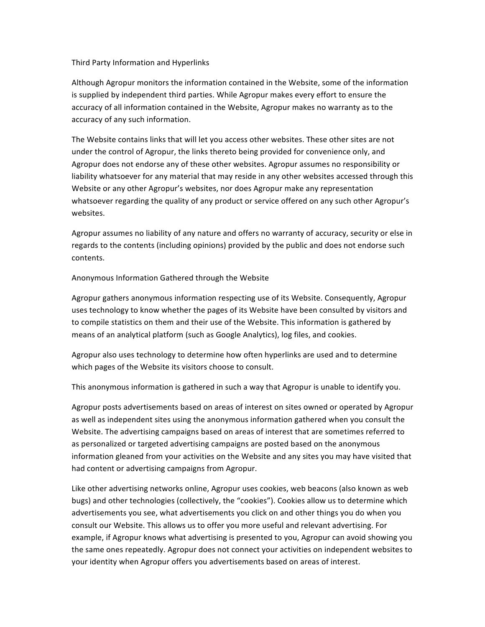## Third Party Information and Hyperlinks

Although Agropur monitors the information contained in the Website, some of the information is supplied by independent third parties. While Agropur makes every effort to ensure the accuracy of all information contained in the Website, Agropur makes no warranty as to the accuracy of any such information.

The Website contains links that will let you access other websites. These other sites are not under the control of Agropur, the links thereto being provided for convenience only, and Agropur does not endorse any of these other websites. Agropur assumes no responsibility or liability whatsoever for any material that may reside in any other websites accessed through this Website or any other Agropur's websites, nor does Agropur make any representation whatsoever regarding the quality of any product or service offered on any such other Agropur's websites.

Agropur assumes no liability of any nature and offers no warranty of accuracy, security or else in regards to the contents (including opinions) provided by the public and does not endorse such contents.

Anonymous Information Gathered through the Website

Agropur gathers anonymous information respecting use of its Website. Consequently, Agropur uses technology to know whether the pages of its Website have been consulted by visitors and to compile statistics on them and their use of the Website. This information is gathered by means of an analytical platform (such as Google Analytics), log files, and cookies.

Agropur also uses technology to determine how often hyperlinks are used and to determine which pages of the Website its visitors choose to consult.

This anonymous information is gathered in such a way that Agropur is unable to identify you.

Agropur posts advertisements based on areas of interest on sites owned or operated by Agropur as well as independent sites using the anonymous information gathered when you consult the Website. The advertising campaigns based on areas of interest that are sometimes referred to as personalized or targeted advertising campaigns are posted based on the anonymous information gleaned from your activities on the Website and any sites you may have visited that had content or advertising campaigns from Agropur.

Like other advertising networks online, Agropur uses cookies, web beacons (also known as web bugs) and other technologies (collectively, the "cookies"). Cookies allow us to determine which advertisements you see, what advertisements you click on and other things you do when you consult our Website. This allows us to offer you more useful and relevant advertising. For example, if Agropur knows what advertising is presented to you, Agropur can avoid showing you the same ones repeatedly. Agropur does not connect your activities on independent websites to your identity when Agropur offers you advertisements based on areas of interest.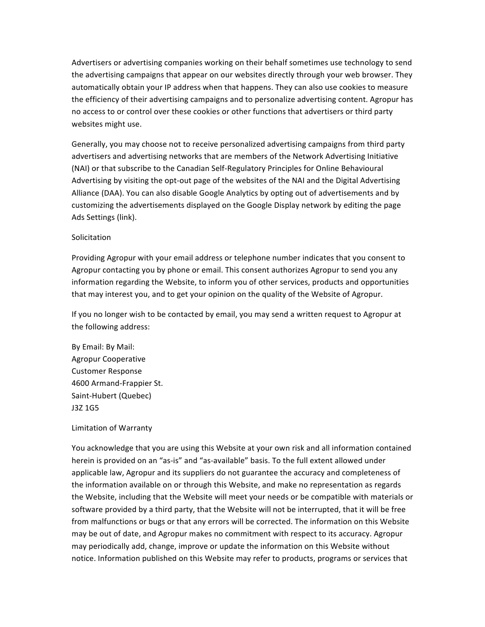Advertisers or advertising companies working on their behalf sometimes use technology to send the advertising campaigns that appear on our websites directly through your web browser. They automatically obtain your IP address when that happens. They can also use cookies to measure the efficiency of their advertising campaigns and to personalize advertising content. Agropur has no access to or control over these cookies or other functions that advertisers or third party websites might use.

Generally, you may choose not to receive personalized advertising campaigns from third party advertisers and advertising networks that are members of the Network Advertising Initiative (NAI) or that subscribe to the Canadian Self-Regulatory Principles for Online Behavioural Advertising by visiting the opt-out page of the websites of the NAI and the Digital Advertising Alliance (DAA). You can also disable Google Analytics by opting out of advertisements and by customizing the advertisements displayed on the Google Display network by editing the page Ads Settings (link).

## Solicitation

Providing Agropur with your email address or telephone number indicates that you consent to Agropur contacting you by phone or email. This consent authorizes Agropur to send you any information regarding the Website, to inform you of other services, products and opportunities that may interest you, and to get your opinion on the quality of the Website of Agropur.

If you no longer wish to be contacted by email, you may send a written request to Agropur at the following address:

By Email: By Mail: Agropur Cooperative Customer Response 4600 Armand-Frappier St. Saint-Hubert (Quebec) J3Z 1G5

#### Limitation of Warranty

You acknowledge that you are using this Website at your own risk and all information contained herein is provided on an "as-is" and "as-available" basis. To the full extent allowed under applicable law, Agropur and its suppliers do not guarantee the accuracy and completeness of the information available on or through this Website, and make no representation as regards the Website, including that the Website will meet your needs or be compatible with materials or software provided by a third party, that the Website will not be interrupted, that it will be free from malfunctions or bugs or that any errors will be corrected. The information on this Website may be out of date, and Agropur makes no commitment with respect to its accuracy. Agropur may periodically add, change, improve or update the information on this Website without notice. Information published on this Website may refer to products, programs or services that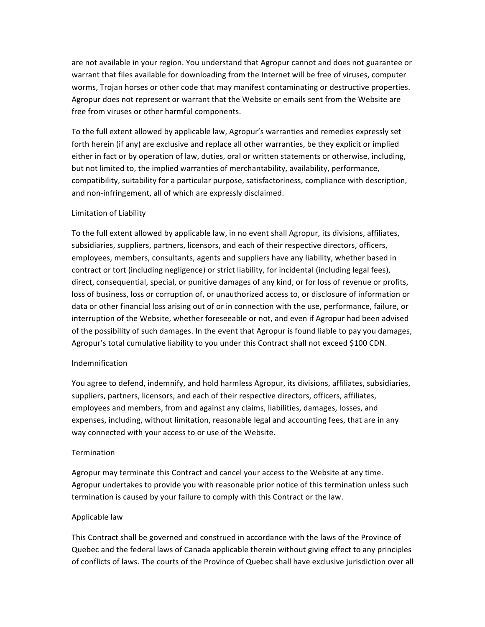are not available in your region. You understand that Agropur cannot and does not guarantee or warrant that files available for downloading from the Internet will be free of viruses, computer worms, Trojan horses or other code that may manifest contaminating or destructive properties. Agropur does not represent or warrant that the Website or emails sent from the Website are free from viruses or other harmful components.

To the full extent allowed by applicable law, Agropur's warranties and remedies expressly set forth herein (if any) are exclusive and replace all other warranties, be they explicit or implied either in fact or by operation of law, duties, oral or written statements or otherwise, including, but not limited to, the implied warranties of merchantability, availability, performance, compatibility, suitability for a particular purpose, satisfactoriness, compliance with description, and non-infringement, all of which are expressly disclaimed.

## Limitation of Liability

To the full extent allowed by applicable law, in no event shall Agropur, its divisions, affiliates, subsidiaries, suppliers, partners, licensors, and each of their respective directors, officers, employees, members, consultants, agents and suppliers have any liability, whether based in contract or tort (including negligence) or strict liability, for incidental (including legal fees), direct, consequential, special, or punitive damages of any kind, or for loss of revenue or profits, loss of business, loss or corruption of, or unauthorized access to, or disclosure of information or data or other financial loss arising out of or in connection with the use, performance, failure, or interruption of the Website, whether foreseeable or not, and even if Agropur had been advised of the possibility of such damages. In the event that Agropur is found liable to pay you damages, Agropur's total cumulative liability to you under this Contract shall not exceed \$100 CDN.

#### Indemnification

You agree to defend, indemnify, and hold harmless Agropur, its divisions, affiliates, subsidiaries, suppliers, partners, licensors, and each of their respective directors, officers, affiliates, employees and members, from and against any claims, liabilities, damages, losses, and expenses, including, without limitation, reasonable legal and accounting fees, that are in any way connected with your access to or use of the Website.

#### **Termination**

Agropur may terminate this Contract and cancel your access to the Website at any time. Agropur undertakes to provide you with reasonable prior notice of this termination unless such termination is caused by your failure to comply with this Contract or the law.

#### Applicable law

This Contract shall be governed and construed in accordance with the laws of the Province of Quebec and the federal laws of Canada applicable therein without giving effect to any principles of conflicts of laws. The courts of the Province of Quebec shall have exclusive jurisdiction over all